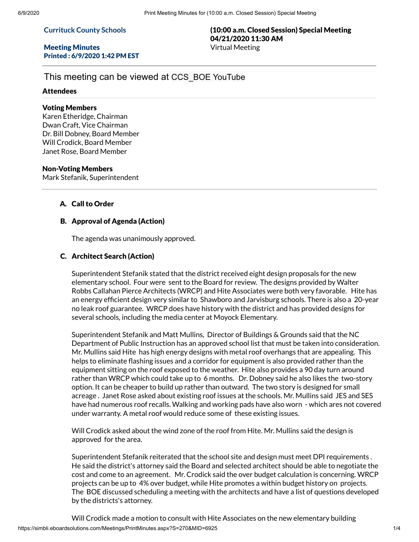#### **Currituck County Schools**

## Meeting Minutes Printed : 6/9/2020 1:42 PM EST

# (10:00 a.m. Closed Session) Special Meeting 04/21/2020 11:30 AM Virtual Meeting

# This meeting can be viewed at CCS\_BOE YouTube

#### Attendees

## Voting Members

Karen Etheridge, Chairman Dwan Craft, Vice Chairman Dr. Bill Dobney, Board Member Will Crodick, Board Member Janet Rose, Board Member

## Non-Voting Members

Mark Stefanik, Superintendent

## A. Call to Order

## B. Approval of Agenda (Action)

The agenda was unanimously approved.

## C. Architect Search (Action)

Superintendent Stefanik stated that the district received eight design proposals for the new elementary school. Four were sent to the Board for review. The designs provided by Walter Robbs Callahan Pierce Architects (WRCP) and Hite Associates were both very favorable. Hite has an energy efficient design very similar to Shawboro and Jarvisburg schools. There is also a 20-year no leak roof guarantee. WRCP does have history with the district and has provided designs for several schools, including the media center at Moyock Elementary.

Superintendent Stefanik and Matt Mullins, Director of Buildings & Grounds said that the NC Department of Public Instruction has an approved school list that must be taken into consideration. Mr. Mullins said Hite has high energy designs with metal roof overhangs that are appealing. This helps to eliminate flashing issues and a corridor for equipment is also provided rather than the equipment sitting on the roof exposed to the weather. Hite also provides a 90 day turn around rather than WRCP which could take up to 6 months. Dr. Dobney said he also likes the two-story option. It can be cheaper to build up rather than outward. The two story is designed for small acreage . Janet Rose asked about existing roof issues at the schools. Mr. Mullins said JES and SES have had numerous roof recalls. Walking and working pads have also worn - which ares not covered under warranty. A metal roof would reduce some of these existing issues.

Will Crodick asked about the wind zone of the roof from Hite. Mr. Mullins said the design is approved for the area.

Superintendent Stefanik reiterated that the school site and design must meet DPI requirements . He said the district's attorney said the Board and selected architect should be able to negotiate the cost and come to an agreement. Mr. Crodick said the over budget calculation is concerning. WRCP projects can be up to 4% over budget, while Hite promotes a within budget history on projects. The BOE discussed scheduling a meeting with the architects and have a list of questions developed by the districts's attorney.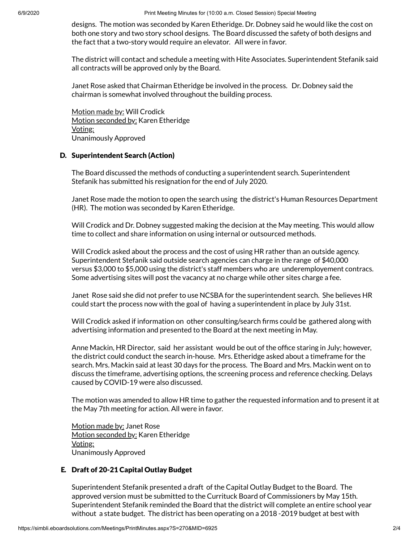6/9/2020 Print Meeting Minutes for (10:00 a.m. Closed Session) Special Meeting

designs. The motion was seconded by Karen Etheridge. Dr. Dobney said he would like the cost on both one story and two story school designs. The Board discussed the safety of both designs and the fact that a two-story would require an elevator. All were in favor.

The district will contact and schedule a meeting with Hite Associates. Superintendent Stefanik said all contracts will be approved only by the Board.

Janet Rose asked that Chairman Etheridge be involved in the process. Dr. Dobney said the chairman is somewhat involved throughout the building process.

Motion made by: Will Crodick Motion seconded by: Karen Etheridge Voting: Unanimously Approved

# D. Superintendent Search (Action)

The Board discussed the methods of conducting a superintendent search. Superintendent Stefanik has submitted his resignation for the end of July 2020.

Janet Rose made the motion to open the search using the district's Human Resources Department (HR). The motion was seconded by Karen Etheridge.

Will Crodick and Dr. Dobney suggested making the decision at the May meeting. This would allow time to collect and share information on using internal or outsourced methods.

Will Crodick asked about the process and the cost of using HR rather than an outside agency. Superintendent Stefanik said outside search agencies can charge in the range of \$40,000 versus \$3,000 to \$5,000 using the district's staff members who are underemployement contracs. Some advertising sites will post the vacancy at no charge while other sites charge a fee.

Janet Rose said she did not prefer to use NCSBA for the superintendent search. She believes HR could start the process now with the goal of having a superintendent in place by July 31st.

Will Crodick asked if information on other consulting/search firms could be gathered along with advertising information and presented to the Board at the next meeting in May.

Anne Mackin, HR Director, said her assistant would be out of the office staring in July; however, the district could conduct the search in-house. Mrs. Etheridge asked about a timeframe for the search. Mrs. Mackin said at least 30 days for the process. The Board and Mrs. Mackin went on to discuss the timeframe, advertising options, the screening process and reference checking. Delays caused by COVID-19 were also discussed.

The motion was amended to allow HR time to gather the requested information and to present it at the May 7th meeting for action. All were in favor.

Motion made by: Janet Rose Motion seconded by: Karen Etheridge Voting: Unanimously Approved

# E. Draft of 20-21 Capital Outlay Budget

Superintendent Stefanik presented a draft of the Capital Outlay Budget to the Board. The approved version must be submitted to the Currituck Board of Commissioners by May 15th. Superintendent Stefanik reminded the Board that the district will complete an entire school year without a state budget. The district has been operating on a 2018 -2019 budget at best with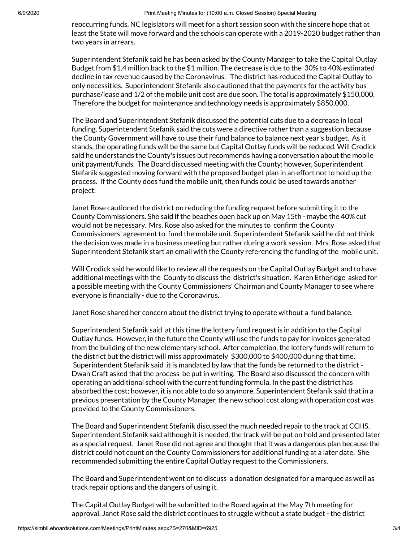reoccurring funds. NC legislators will meet for a short session soon with the sincere hope that at least the State will move forward and the schools can operate with a 2019-2020 budget rather than two years in arrears.

Superintendent Stefanik said he has been asked by the County Manager to take the Capital Outlay Budget from \$1.4 million back to the \$1 million. The decrease is due to the 30% to 40% estimated decline in tax revenue caused by the Coronavirus. The district has reduced the Capital Outlay to only necessities. Superintendent Stefanik also cautioned that the payments for the activity bus purchase/lease and 1/2 of the mobile unit cost are due soon. The total is approximately \$150,000. Therefore the budget for maintenance and technology needs is approximately \$850,000.

The Board and Superintendent Stefanik discussed the potential cuts due to a decrease in local funding. Superintendent Stefanik said the cuts were a directive rather than a suggestion because the County Government will have to use their fund balance to balance next year's budget. As it stands, the operating funds will be the same but Capital Outlay funds will be reduced. Will Crodick said he understands the County's issues but recommends having a conversation about the mobile unit payment/funds. The Board discussed meeting with the County; however, Superintendent Stefanik suggested moving forward with the proposed budget plan in an effort not to hold up the process. If the County does fund the mobile unit, then funds could be used towards another project.

Janet Rose cautioned the district on reducing the funding request before submitting it to the County Commissioners. She said if the beaches open back up on May 15th - maybe the 40% cut would not be necessary. Mrs. Rose also asked for the minutes to confirm the County Commissioners' agreement to fund the mobile unit. Superintendent Stefanik said he did not think the decision was made in a business meeting but rather during a work session. Mrs. Rose asked that Superintendent Stefanik start an email with the County referencing the funding of the mobile unit.

Will Crodick said he would like to review all the requests on the Capital Outlay Budget and to have additional meetings with the County to discuss the district's situation. Karen Etheridge asked for a possible meeting with the County Commissioners' Chairman and County Manager to see where everyone is financially - due to the Coronavirus.

Janet Rose shared her concern about the district trying to operate without a fund balance.

Superintendent Stefanik said at this time the lottery fund request is in addition to the Capital Outlay funds. However, in the future the County will use the funds to pay for invoices generated from the building of the new elementary school. After completion, the lottery funds will return to the district but the district will miss approximately \$300,000 to \$400,000 during that time. Superintendent Stefanik said it is mandated by law that the funds be returned to the district - Dwan Craft asked that the process be put in writing. The Board also discussed the concern with operating an additional school with the current funding formula. In the past the district has absorbed the cost; however, it is not able to do so anymore. Superintendent Stefanik said that in a previous presentation by the County Manager, the new school cost along with operation cost was provided to the County Commissioners.

The Board and Superintendent Stefanik discussed the much needed repair to the track at CCHS. Superintendent Stefanik said although it is needed, the track will be put on hold and presented later as a special request. Janet Rose did not agree and thought that it was a dangerous plan because the district could not count on the County Commissioners for additional funding at a later date. She recommended submitting the entire Capital Outlay request to the Commissioners.

The Board and Superintendent went on to discuss a donation designated for a marquee as well as track repair options and the dangers of using it.

The Capital Outlay Budget will be submitted to the Board again at the May 7th meeting for approval. Janet Rose said the district continues to struggle without a state budget - the district